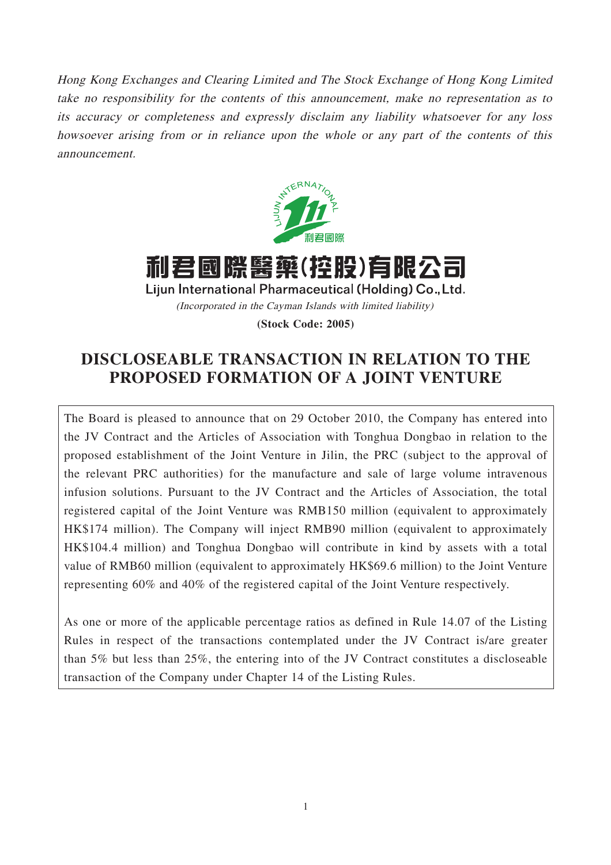Hong Kong Exchanges and Clearing Limited and The Stock Exchange of Hong Kong Limited take no responsibility for the contents of this announcement, make no representation as to its accuracy or completeness and expressly disclaim any liability whatsoever for any loss howsoever arising from or in reliance upon the whole or any part of the contents of this announcement.



利君國際醫藥(控股)有限公司 Lijun International Pharmaceutical (Holding) Co., Ltd. (Incorporated in the Cayman Islands with limited liability) **(Stock Code: 2005)**

# **DISCLOSEABLE TRANSACTION IN RELATION TO THE PROPOSED FORMATION OF A JOINT VENTURE**

The Board is pleased to announce that on 29 October 2010, the Company has entered into the JV Contract and the Articles of Association with Tonghua Dongbao in relation to the proposed establishment of the Joint Venture in Jilin, the PRC (subject to the approval of the relevant PRC authorities) for the manufacture and sale of large volume intravenous infusion solutions. Pursuant to the JV Contract and the Articles of Association, the total registered capital of the Joint Venture was RMB150 million (equivalent to approximately HK\$174 million). The Company will inject RMB90 million (equivalent to approximately HK\$104.4 million) and Tonghua Dongbao will contribute in kind by assets with a total value of RMB60 million (equivalent to approximately HK\$69.6 million) to the Joint Venture representing 60% and 40% of the registered capital of the Joint Venture respectively.

As one or more of the applicable percentage ratios as defined in Rule 14.07 of the Listing Rules in respect of the transactions contemplated under the JV Contract is/are greater than 5% but less than 25%, the entering into of the JV Contract constitutes a discloseable transaction of the Company under Chapter 14 of the Listing Rules.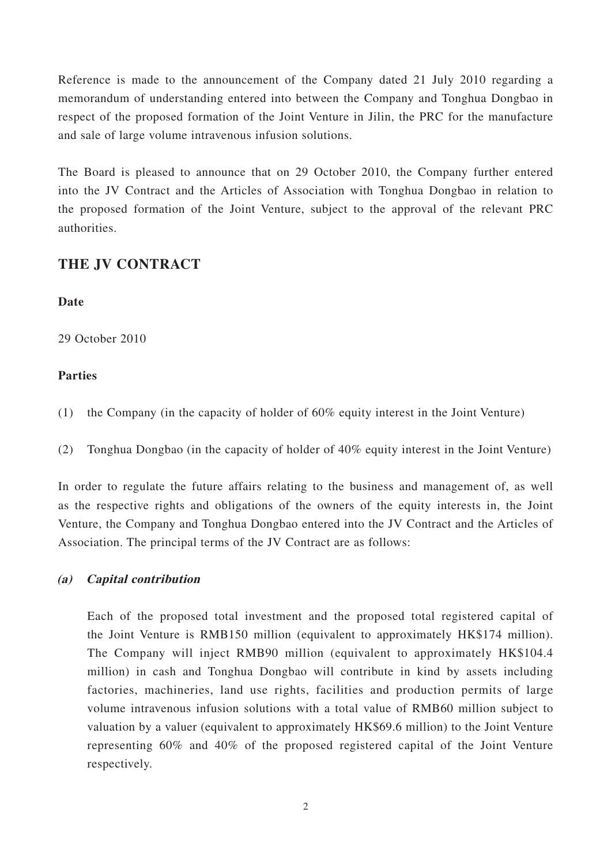Reference is made to the announcement of the Company dated 21 July 2010 regarding a memorandum of understanding entered into between the Company and Tonghua Dongbao in respect of the proposed formation of the Joint Venture in Jilin, the PRC for the manufacture and sale of large volume intravenous infusion solutions.

The Board is pleased to announce that on 29 October 2010, the Company further entered into the JV Contract and the Articles of Association with Tonghua Dongbao in relation to the proposed formation of the Joint Venture, subject to the approval of the relevant PRC authorities.

### **THE JV CONTRACT**

### **Date**

29 October 2010

### **Parties**

(1) the Company (in the capacity of holder of 60% equity interest in the Joint Venture)

(2) Tonghua Dongbao (in the capacity of holder of 40% equity interest in the Joint Venture)

In order to regulate the future affairs relating to the business and management of, as well as the respective rights and obligations of the owners of the equity interests in, the Joint Venture, the Company and Tonghua Dongbao entered into the JV Contract and the Articles of Association. The principal terms of the JV Contract are as follows:

#### **(a) Capital contribution**

Each of the proposed total investment and the proposed total registered capital of the Joint Venture is RMB150 million (equivalent to approximately HK\$174 million). The Company will inject RMB90 million (equivalent to approximately HK\$104.4 million) in cash and Tonghua Dongbao will contribute in kind by assets including factories, machineries, land use rights, facilities and production permits of large volume intravenous infusion solutions with a total value of RMB60 million subject to valuation by a valuer (equivalent to approximately HK\$69.6 million) to the Joint Venture representing 60% and 40% of the proposed registered capital of the Joint Venture respectively.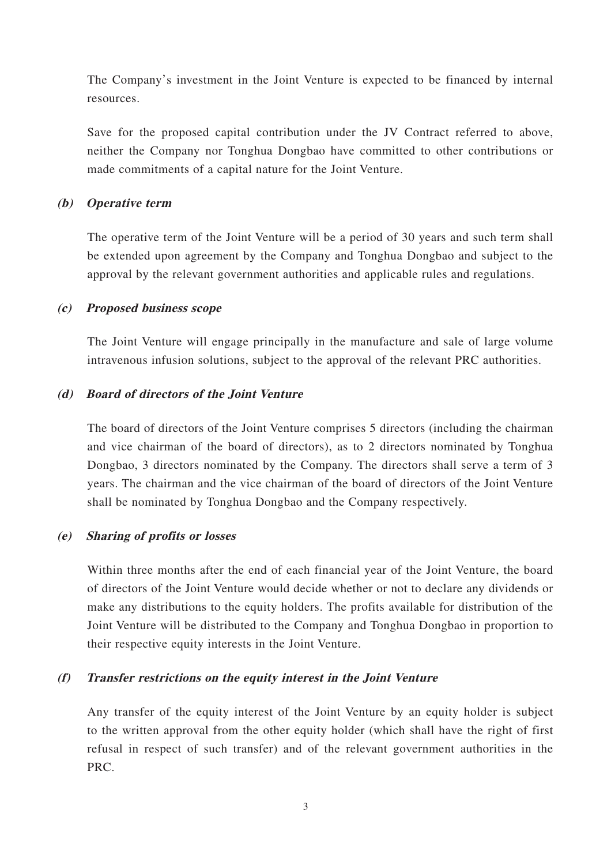The Company's investment in the Joint Venture is expected to be financed by internal resources.

Save for the proposed capital contribution under the JV Contract referred to above, neither the Company nor Tonghua Dongbao have committed to other contributions or made commitments of a capital nature for the Joint Venture.

#### **(b) Operative term**

The operative term of the Joint Venture will be a period of 30 years and such term shall be extended upon agreement by the Company and Tonghua Dongbao and subject to the approval by the relevant government authorities and applicable rules and regulations.

#### **(c) Proposed business scope**

The Joint Venture will engage principally in the manufacture and sale of large volume intravenous infusion solutions, subject to the approval of the relevant PRC authorities.

#### **(d) Board of directors of the Joint Venture**

The board of directors of the Joint Venture comprises 5 directors (including the chairman and vice chairman of the board of directors), as to 2 directors nominated by Tonghua Dongbao, 3 directors nominated by the Company. The directors shall serve a term of 3 years. The chairman and the vice chairman of the board of directors of the Joint Venture shall be nominated by Tonghua Dongbao and the Company respectively.

#### **(e) Sharing of profits or losses**

Within three months after the end of each financial year of the Joint Venture, the board of directors of the Joint Venture would decide whether or not to declare any dividends or make any distributions to the equity holders. The profits available for distribution of the Joint Venture will be distributed to the Company and Tonghua Dongbao in proportion to their respective equity interests in the Joint Venture.

#### **(f) Transfer restrictions on the equity interest in the Joint Venture**

Any transfer of the equity interest of the Joint Venture by an equity holder is subject to the written approval from the other equity holder (which shall have the right of first refusal in respect of such transfer) and of the relevant government authorities in the PRC.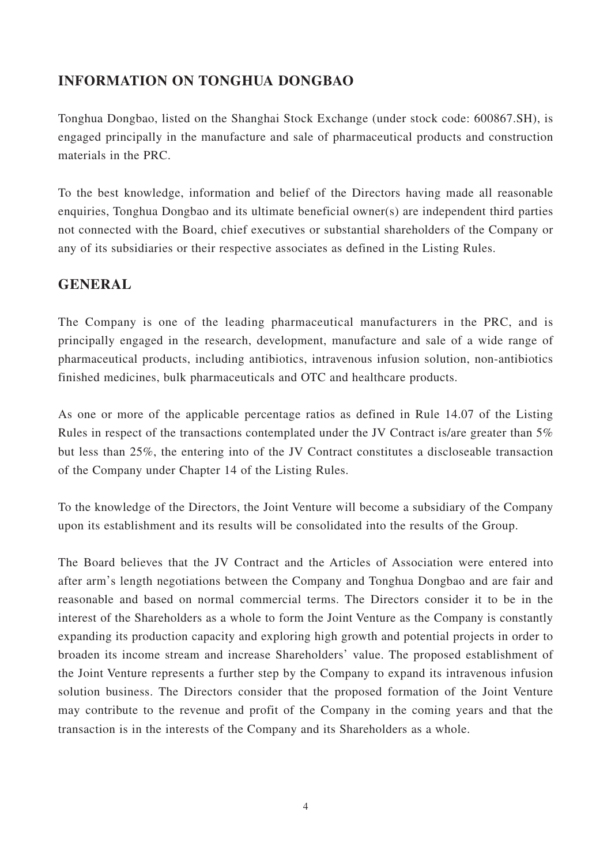## **INFORMATION ON TONGHUA DONGBAO**

Tonghua Dongbao, listed on the Shanghai Stock Exchange (under stock code: 600867.SH), is engaged principally in the manufacture and sale of pharmaceutical products and construction materials in the PRC.

To the best knowledge, information and belief of the Directors having made all reasonable enquiries, Tonghua Dongbao and its ultimate beneficial owner(s) are independent third parties not connected with the Board, chief executives or substantial shareholders of the Company or any of its subsidiaries or their respective associates as defined in the Listing Rules.

## **GENERAL**

The Company is one of the leading pharmaceutical manufacturers in the PRC, and is principally engaged in the research, development, manufacture and sale of a wide range of pharmaceutical products, including antibiotics, intravenous infusion solution, non-antibiotics finished medicines, bulk pharmaceuticals and OTC and healthcare products.

As one or more of the applicable percentage ratios as defined in Rule 14.07 of the Listing Rules in respect of the transactions contemplated under the JV Contract is/are greater than 5% but less than 25%, the entering into of the JV Contract constitutes a discloseable transaction of the Company under Chapter 14 of the Listing Rules.

To the knowledge of the Directors, the Joint Venture will become a subsidiary of the Company upon its establishment and its results will be consolidated into the results of the Group.

The Board believes that the JV Contract and the Articles of Association were entered into after arm's length negotiations between the Company and Tonghua Dongbao and are fair and reasonable and based on normal commercial terms. The Directors consider it to be in the interest of the Shareholders as a whole to form the Joint Venture as the Company is constantly expanding its production capacity and exploring high growth and potential projects in order to broaden its income stream and increase Shareholders' value. The proposed establishment of the Joint Venture represents a further step by the Company to expand its intravenous infusion solution business. The Directors consider that the proposed formation of the Joint Venture may contribute to the revenue and profit of the Company in the coming years and that the transaction is in the interests of the Company and its Shareholders as a whole.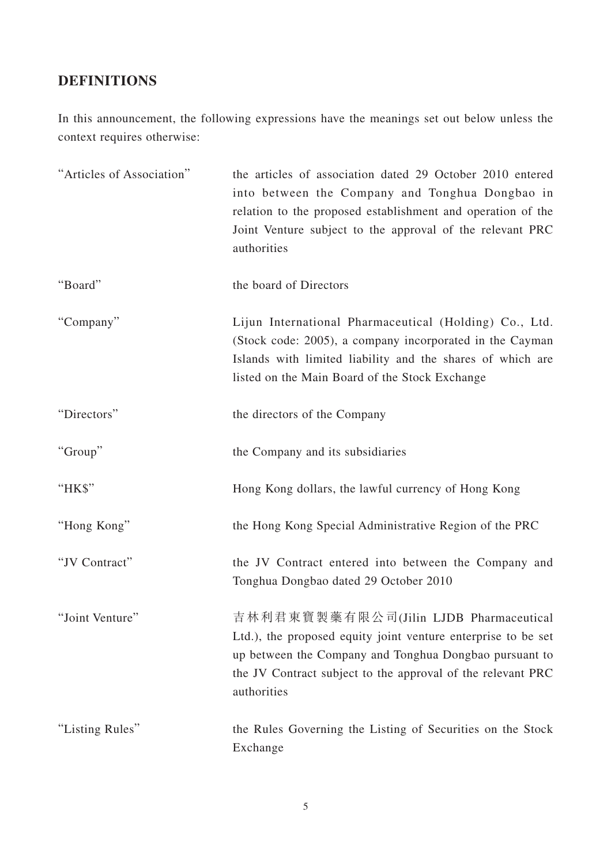# **DEFINITIONS**

In this announcement, the following expressions have the meanings set out below unless the context requires otherwise:

| "Articles of Association" | the articles of association dated 29 October 2010 entered<br>into between the Company and Tonghua Dongbao in<br>relation to the proposed establishment and operation of the<br>Joint Venture subject to the approval of the relevant PRC<br>authorities |
|---------------------------|---------------------------------------------------------------------------------------------------------------------------------------------------------------------------------------------------------------------------------------------------------|
| "Board"                   | the board of Directors                                                                                                                                                                                                                                  |
| "Company"                 | Lijun International Pharmaceutical (Holding) Co., Ltd.<br>(Stock code: 2005), a company incorporated in the Cayman<br>Islands with limited liability and the shares of which are<br>listed on the Main Board of the Stock Exchange                      |
| "Directors"               | the directors of the Company                                                                                                                                                                                                                            |
| "Group"                   | the Company and its subsidiaries                                                                                                                                                                                                                        |
| "НК\$"                    | Hong Kong dollars, the lawful currency of Hong Kong                                                                                                                                                                                                     |
| "Hong Kong"               | the Hong Kong Special Administrative Region of the PRC                                                                                                                                                                                                  |
| "JV Contract"             | the JV Contract entered into between the Company and<br>Tonghua Dongbao dated 29 October 2010                                                                                                                                                           |
| "Joint Venture"           | 吉林利君東寶製藥有限公司(Jilin LJDB Pharmaceutical<br>Ltd.), the proposed equity joint venture enterprise to be set<br>up between the Company and Tonghua Dongbao pursuant to<br>the JV Contract subject to the approval of the relevant PRC<br>authorities         |
| "Listing Rules"           | the Rules Governing the Listing of Securities on the Stock<br>Exchange                                                                                                                                                                                  |